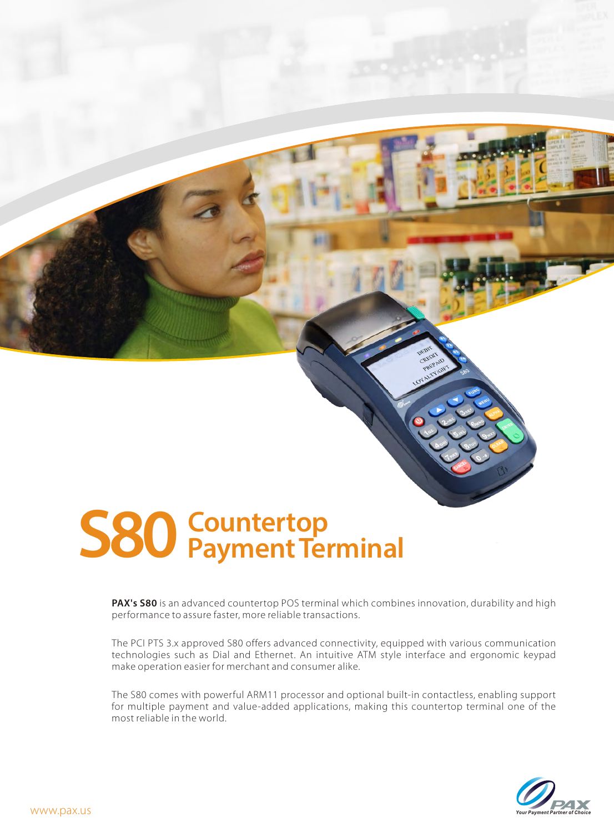# **S80 Countertop Payment Terminal**

Wireless Payment D200 Terminal

**PAX's S80** is an advanced countertop POS terminal which combines innovation, durability and high performance to assure faster, more reliable transactions.

The PCI PTS 3.x approved S80 offers advanced connectivity, equipped with various communication technologies such as Dial and Ethernet. An intuitive ATM style interface and ergonomic keypad make operation easier for merchant and consumer alike.

The S80 comes with powerful ARM11 processor and optional built-in contactless, enabling support for multiple payment and value-added applications, making this countertop terminal one of the most reliable in the world.